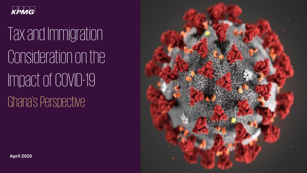

# Tax and Immigration Consideration on the Impact of COVID-19 Ghana's Perspective



**April 2020**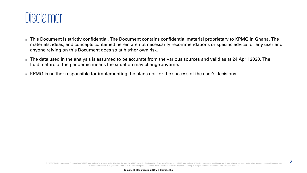

- This Document is strictly confidential. The Document contains confidential material proprietary to KPMG in Ghana. The materials, ideas, and concepts contained herein are not necessarily recommendations or specific advice for any user and anyone relying on this Document does so at his/her own risk.
- The data used in the analysis is assumed to be accurate from the various sources and valid as at 24 April 2020. The fluid nature of the pandemic means the situation may change anytime.
- KPMG is neither responsible for implementing the plans nor for the success of the user's decisions.

2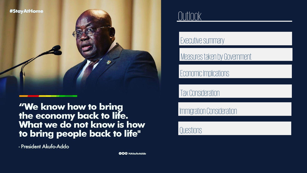

"We know how to bring the economy back to life.<br>What we do not know is how to bring people back to life"

- President Akufo-Addo

Outlook

### Executive summary

Measures taken by Government

Economic Implications

Tax Consideration

Immigration Consideration

Questions

**GO**@ NAkufoAddo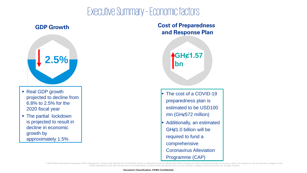## Executive Summary –Economic factors

### **GDP Growth**



- Real GDP growth projected to decline from 6.8% to 2.5% for the 2020 fiscal year
- **The partial lockdown** is projected to result in decline in economic growth by approximately 1.5%

### **Cost of Preparedness and Response Plan**

**GHȼ1.57 bn**

- **F** The cost of a COVID-19 preparedness plan is estimated to be USD100  $mn$  (GH $\epsilon$ 572 million)
- Additionally, an estimated GH¢1.0 billion will be required to fund a comprehensive Coronavirus Alleviation Programme (CAP)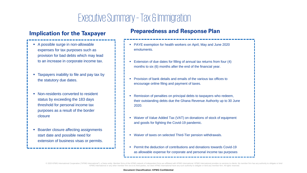## Executive Summary–Tax & Immigration

- A possible surge in non-allowable expenses for tax purposes such as provision for bad debts which may lead to an increase in corporate income tax.
- Taxpayers inability to file and pay tax by the statutory due dates.
- Non-residents converted to resident status by exceeding the 183 days threshold for personal income tax purposes as a result of the border closure
- Boarder closure affecting assignments start date and possible need for extension of business visas or permits.

### **Implication for the Taxpayer Preparedness and Response Plan**

- PAYE exemption for health workers on April, May and June 2020 emoluments.
- Extension of due dates for filling of annual tax returns from four (4) months to six (6) months after the end of the financial year.
- Provision of bank details and emails of the various tax offices to encourage online filing and payment of taxes.
- Remission of penalties on principal debts to taxpayers who redeem, their outstanding debts due the Ghana Revenue Authority up to 30 June 2020.
- Waiver of Value Added Tax (VAT) on donations of stock of equipment and goods for fighting the Covid-19 pandemic.
- Waiver of taxes on selected Third-Tier pension withdrawals.
- Permit the deduction of contributions and donations towards Covid-19 as allowable expense for corporate and personal income tax purposes

© 2020 KPMG International Cooperative ("KPMG International"), a Swiss entity. Member firms of the KPMG network of independent firms are affiliated with KPMG International. KPMG International provides no services to clients KPMG International or any other member firm vis-à-vis third parties, nor does KPMG International have any such authority to obligate or bind any member firm. All rights reserved.

#### **Document Classification: KPMG Confidential**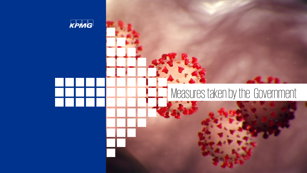

## Measures taken by the Government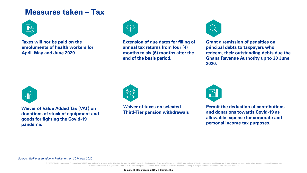### **Measures taken – Tax**



**Taxes will not be paid on the emoluments of health workers for April, May and June 2020.** 



**Extension of due dates for filling of annual tax returns from four (4) months to six (6) months after the end of the basis period.**



**Grant a remission of penalties on principal debts to taxpayers who redeem, their outstanding debts due the Ghana Revenue Authority up to 30 June 2020.** 



**Waiver of Value Added Tax (VAT) on donations of stock of equipment and goods for fighting the Covid-19 pandemic**



**Waiver of taxes on selected Third-Tier pension withdrawals** 



**Permit the deduction of contributions and donations towards Covid-19 as allowable expense for corporate and personal income tax purposes.**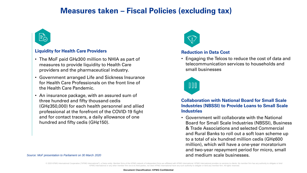### **Measures taken – Fiscal Policies (excluding tax)**



#### **Liquidity for Health Care Providers**

- The MoF paid GHg300 million to NHIA as part of measures to provide liquidity to Health Care providers and the pharmaceutical industry.
- Government arranged Life and Sickness Insurance for Health Care Professionals on the front line of the Health Care Pandemic.
- An insurance package, with an assured sum of three hundred and fifty thousand cedis (GH¢350,000) for each health personnel and allied professional at the forefront of the COVID-19 fight and for contact tracers, a daily allowance of one hundred and fifty cedis (GH¢150).



#### **Reduction in Data Cost**

• Engaging the Telcos to reduce the cost of data and telecommunication services to households and small businesses



**Collaboration with National Board for Small Scale Industries (NBSSI) to Provide Loans to Small Scale Industries** 

• Government will collaborate with the National Board for Small Scale Industries (NBSSI), Business & Trade Associations and selected Commercial and Rural Banks to roll out a soft loan scheme up to a total of six hundred million cedis (GH¢600 million), which will have a one-year moratorium and two-year repayment period for micro, small and medium scale businesses.

*Source: MoF presentation to Parliament on 30 March 2020*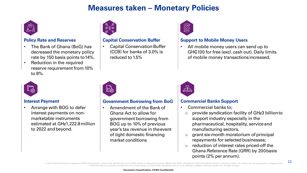### **Measures taken – Monetary Policies**



#### **Policy Rate and Reserves**

- The Bank of Ghana (BoG) has decreased the monetary policy rate by 150 basis points to14%.
- Reduction in the required reserve requirement from10% to 8%.



#### **Capital Conservation Buffer**

**Capital Conservation Buffer** (CCB) for banks of 3.0% is reduced to 1.5%



#### **Support to Mobile Money Users**

• All mobile money users can send up to GH $\textcircled{100}$  for free (excl. cash out). Daily limits of mobile money transactionsincreased.



#### **Interest Payment**

• Arrange with BOG to defer interest payments on nonmarketable instruments estimated at GHg1,222.8 million to 2022 and beyond.



#### **Government Borrowing from BoG**

• Amendment of the Bank of Ghana Act to allow for government borrowing from BOG up to 10% of previous year's tax revenue in theevent of tight domestic financing market conditions



#### **Commercial Banks Support**

- Commercial banks to;
	- $\circ$  provide syndication facility of GH $\epsilon$ 3 billionto
	- support industry especially in the pharmaceutical, hospitality, serviceand manufacturing sectors.
	- o grant six-month moratorium of principal repayments for selected businesses;
	- reduction of interest rates priced-off the Ghana Reference Rate (GRR) by 200basis points (2% per annum).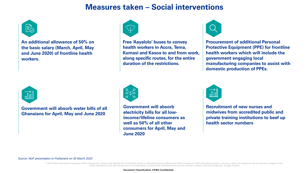### **Measures taken – Social interventions**



**An additional allowance of 50% on the basic salary (March, April, May and June 2020) of frontline health workers.** 



**Free 'Aayalolo' buses to convey health workers in Accra, Tema, Kumasi and Kasoa to and from work, along specific routes, for the entire duration of the restrictions.**



**Procurement of additional Personal Protective Equipment (PPE) for frontline health workers which will include the government engaging local manufacturing companies to assist with domestic production of PPEs.** 



**Government will absorb water bills of all Ghanaians for April, May and June 2020**



**Government will absorb electricity bills for all lowincome/lifeline consumers as well as 50% of all other consumers for April, May and June 2020**



**Recruitment of new nurses and midwives from accredited public and private training institutions to beef up health sector numbers** 

*Source: MoF presentation to Parliament on 30 March 2020*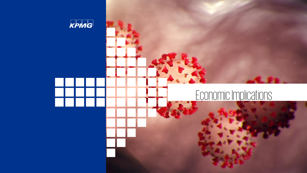

## Economic Implications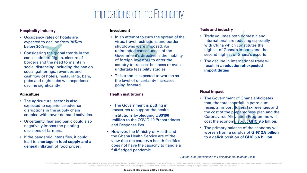## Implications on the Economy

#### **Hospitality industry**

- Occupancy rates of hotels are expected to decline from **70%** to **below 30%**
- Considering the global trends in the cancellation of flights, closure of borders and the need to maintain social distancing including the ban on social gatherings, revenues and cashflow of hotels, restaurants, bars, pubs and nightclubs will experience decline significantly

#### **Agriculture**

- The agricultural sector is also expected to experience adverse disruptions in the supply chain coupled with lower demand activities.
- Uncertainty, fear and panic could also negatively impact the planting decisions of farmers.
- If the pandemic intensifies, it could lead to **shortage in food supply and a general inflation** of food prices.

#### **Investment**

- In an attempt to curb the spread of the virus, travel restrictions and border shutdowns were imposed. An unintended consequence of the Government's directive is the inability of foreign investors to enter the country to transact business or even undertake feasibility studies
- This trend is expected to worsen as the level of uncertainty increases going forward.

#### **Health institutions**

- The Government is putting in measures to support the health institutions bypledging **US\$100 million** to the COVID-19 Preparedness and Response Plan.
- However, the Ministry of Health and the Ghana Health Service are of the view that the country's health facilities does not have the capacity to handle a full-fledged pandemic.

#### **Trade and industry**

- Trade volumes both domestic and international are reducing especially with China which constitutes the highest of Ghana's imports and the second highest of Ghana's exports
- The decline in international trade will result in a **reduction of expected import duties**

#### **Fiscal impact**

- The Government of Ghana anticipates that, the total shortfall in petroleum receipts, import duties, tax revenues and the cost of the preparedness plan and the Coronavirus Alleviation Programme will cost the economy about **GH₵ 9.5 billion**.
- The primary balance of the economy will worsen from a surplus of **GH₵ 2.8 billion** to a deficit position of **GH₵ 5.6 billion.**

*Source: MoF presentation to Parliament on 30 March 2020*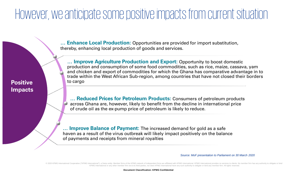## However, we anticipate some positive impacts from current situation

**… Enhance Local Production:** Opportunities are provided for import substitution, thereby, enhancing local production of goods and services.

**… Improve Agriculture Production and Export:** Opportunity to boost domestic production and consumption of some food commodities, such as rice, maize, cassava, yam and chicken and export of commodities for which the Ghana has comparative advantage in to trade within the West African Sub-region, among countries that have not closed their borders **Positive**  to cargo

> **… Reduced Prices for Petroleum Products:** Consumers of petroleum products across Ghana are, however, likely to benefit from the decline in international price of crude oil as the ex-pump price of petroleum is likely to reduce.

**… Improve Balance of Payment:** The increased demand for gold as a safe haven as a result of the virus outbreak will likely impact positively on the balance of payments and receipts from mineral royalties

**Impacts**

*Source: MoF presentation to Parliament on 30 March 2020*

© 2020 KPMG International Cooperative ("KPMG International"), a Swiss entity. Member firms of the KPMG network of independent firms are affiliated with KPMG International. KPMG International provides no services to clients KPMG International or any other member firm vis-à-vis third parties, nor does KPMG International have any such authority to obligate or bind any member firm. All rights

**Document Classification: KPMG Confidential**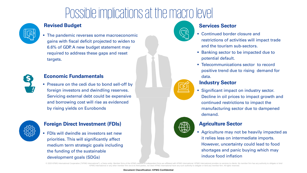## Possible implications at the macrolevel



#### **Revised Budget**

• The pandemic reverses some macroeconomic gains with fiscal deficit projected to widen to 6.6% of GDP. A new budget statement may required to address these gaps and reset targets.



#### **Economic Fundamentals**

**• Pressure on the cedi due to bond sell-off by** foreign investors and dwindling reserves. Servicing external debt could be expensive and borrowing cost will rise as evidenced by rising yields on Eurobonds



#### **Foreign Direct Investment (FDIs)**

**• FDIs will dwindle as investors set new** priorities. This will significantly affect medium term strategic goals including the funding of the sustainable development goals (SDGs)



#### **Services Sector**

- Continued border closure and restrictions of activities will impact trade and the tourism sub-sectors.
- Banking sector to be impacted due to potential default.
- Telecommunications sector to record positive trend due to rising demand for data.

#### **Industry Sector**

**EXIGNIFICANT Significant impact on industry sector.** Decline in oil prices to impact growth and continued restrictions to impact the manufacturing sector due to dampened demand.

#### **Agriculture Sector**

**EXECUTE Agriculture may not be heavily impacted as** it relies less on intermediate imports. However, uncertainty could lead to food shortages and panic buying which may induce food inflation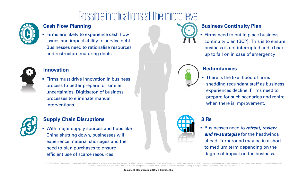## Possible implications at the micro level



### **Cash Flow Planning**

**Eirms are likely to experience cash flow** issues and impact ability to service debt. Businesses need to rationalise resources and restructure maturing debts



#### **Innovation**

**EXECTE:** Firms must drive innovation in business process to better prepare for similar uncertainties. Digitisaton of business processes to eliminate manual interventions



#### **Supply Chain Disruptions**

**.** With major supply sources and hubs like China shutting down, businesses will experience material shortages and the need to plan purchases to ensure efficient use of scarce resources.

### **Business Continuity Plan**

**Firms need to put in place business** continuity plan (BCP). This is to ensure business is not interrupted and a backup to fall on in case of emergency



**.** There is the likelihood of firms shedding redundant staff as business experiences decline. Firms need to prepare for such scenarios and rehire when there is improvement.



#### **3 Rs**

■ Businesses need to *retreat, review and re-strategise* for the headwinds ahead. Turnaround may be in a short to medium term depending on the degree of impact on the business.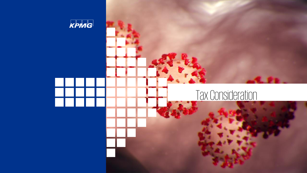

## Tax Consideration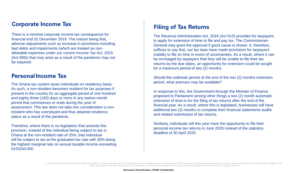#### **Corporate Income Tax**

There is a minimal corporate income tax consequence for financial end 31 December 2019. The reason being that, adverse adjustments such as increase in provisions including bad debts and impairments (which are treated as nonallowable expenses under our current Income Tax Act, 2015 (Act 896)) that may arise as a result of the pandemic may not be required.

#### **PersonalIncome Tax**

The Ghana tax system taxes individuals on residency basis. As such, a non-resident becomes resident for tax purposes if present in the country for an aggregate period of one hundred and eighty-three (183) days or more in any twelve-month period that commences or ends during the year of assessment. This law does not take into consideration a nonresident who has overstayed and thus attained residency status as a result of the pandemic.

Therefore, where there is no legislation that amends this provision, instead of the individual being subject to tax in Ghana at the non-resident rate of 25%, that individual will be subject to tax at the graduated tax rate with 30% being the highest marginal rate on annual taxable income exceeding GHS240,000.

#### **Filing of Tax Returns**

The Revenue Administration Act, 2016 (Act 915) provides for taxpayers to apply for extension of time to file and pay tax. The Commissioner-General may grant the approval if good cause is shown. It, therefore, suffices to say that, our tax laws have made provisions for taxpayers' inability to file on time in event of uncertainties. As a result, where it can be envisaged by taxpayers that they will be unable to file their tax returns by the due dates, an opportunity for extension could be sought for a maximum period of two (2) months.

Should the outbreak persist at the end of the two (2) months extension period, what avenues may be available?

In response to this, the Government through the Minister of Finance proposed to Parliament among other things a two (2) month automatic extension of time to for the filing of tax returns after the end of the financial year. As a result, where this is legislated, businesses will have additional two (2) months to complete their financial statements audits and related submission of tax returns.

Similarly, individuals will this year have the opportunity to file their personal income tax returns in June 2020 instead of the statutory deadline of 30 April 2020.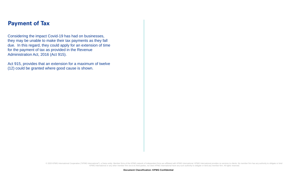#### **Payment of Tax**

Considering the impact Covid-19 has had on businesses, they may be unable to make their tax payments as they fall due. In this regard, they could apply for an extension of time for the payment of tax as provided in the Revenue Administration Act, 2016 (Act 915).

Act 915, provides that an extension for a maximum of twelve (12) could be granted where good cause is shown.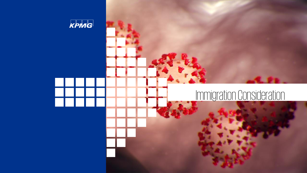

# Immigration Consideration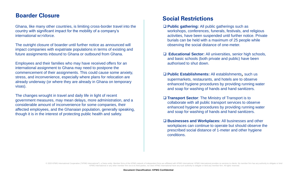### **Boarder Closure Social Restrictions**

Ghana, like many other countries, is limiting cross-border travel into the country with significant impact for the mobility of a company's international workforce.

The outright closure of boarder until further notice as announced will impact companies with expatriate populations in terms of existing and future assignments inbound to Ghana or outbound from Ghana.

Employees and their families who may have received offers for an international assignment to Ghana may need to postpone the commencement of their assignments. This could cause some anxiety, stress, and inconvenience, especially where plans for relocation are already underway (or where they are already in Ghana on temporary visas).

The changes wrought in travel and daily life in light of recent government measures, may mean delays, more administration, and a considerable amount of inconvenience for some companies, their affected employees, and the Ghanaian population, generally speaking, though it is in the interest of protecting public health and safety.

- ❑ **Public gathering:** All public gatherings such as workshops, conferences, funerals, festivals, and religious activities, have been suspended until further notice. Private burials can be held with a maximum of 25 people while observing the social distance of one-meter.
- ❑ **Educational Sector:** All universities, senior high schools, and basic schools (both private and public) have been authorised to shut down.
- ❑ **Public Establishments:** All establishments, such us supermarkets, restaurants, and hotels are to observe enhanced hygiene procedures by providing running water and soap for washing of hands and hand sanitizers.
- ❑ **Transport Sector**: The Ministry of Transport is to collaborate with all public transport services to observe enhanced hygiene procedures by providing running water and soap for washing of hands and hand sanitizers.
- ❑ **Businesses and Workplaces:** All businesses and other workplaces can continue to operate but should observe the prescribed social distance of 1-meter and other hygiene conditions.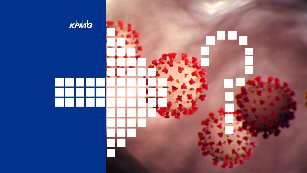